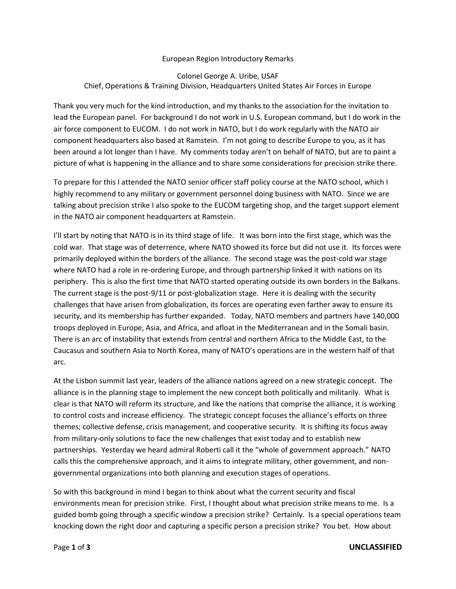## European Region Introductory Remarks

## Colonel George A. Uribe, USAF Chief, Operations & Training Division, Headquarters United States Air Forces in Europe

Thank you very much for the kind introduction, and my thanks to the association for the invitation to lead the European panel. For background I do not work in U.S. European command, but I do work in the air force component to EUCOM. I do not work in NATO, but I do work regularly with the NATO air component headquarters also based at Ramstein. I'm not going to describe Europe to you, as it has been around a lot longer than I have. My comments today aren't on behalf of NATO, but are to paint a picture of what is happening in the alliance and to share some considerations for precision strike there.

To prepare for this I attended the NATO senior officer staff policy course at the NATO school, which I highly recommend to any military or government personnel doing business with NATO. Since we are talking about precision strike I also spoke to the EUCOM targeting shop, and the target support element in the NATO air component headquarters at Ramstein.

I'll start by noting that NATO is in its third stage of life. It was born into the first stage, which was the cold war. That stage was of deterrence, where NATO showed its force but did not use it. Its forces were primarily deployed within the borders of the alliance. The second stage was the post-cold war stage where NATO had a role in re-ordering Europe, and through partnership linked it with nations on its periphery. This is also the first time that NATO started operating outside its own borders in the Balkans. The current stage is the post-9/11 or post-globalization stage. Here it is dealing with the security challenges that have arisen from globalization, its forces are operating even farther away to ensure its security, and its membership has further expanded. Today, NATO members and partners have 140,000 troops deployed in Europe, Asia, and Africa, and afloat in the Mediterranean and in the Somali basin. There is an arc of instability that extends from central and northern Africa to the Middle East, to the Caucasus and southern Asia to North Korea, many of NATO's operations are in the western half of that arc.

At the Lisbon summit last year, leaders of the alliance nations agreed on a new strategic concept. The alliance is in the planning stage to implement the new concept both politically and militarily. What is clear is that NATO will reform its structure, and like the nations that comprise the alliance, it is working to control costs and increase efficiency. The strategic concept focuses the alliance's efforts on three themes; collective defense, crisis management, and cooperative security. It is shifting its focus away from military-only solutions to face the new challenges that exist today and to establish new partnerships. Yesterday we heard admiral Roberti call it the "whole of government approach." NATO calls this the comprehensive approach, and it aims to integrate military, other government, and nongovernmental organizations into both planning and execution stages of operations.

So with this background in mind I began to think about what the current security and fiscal environments mean for precision strike. First, I thought about what precision strike means to me. Is a guided bomb going through a specific window a precision strike? Certainly. Is a special operations team knocking down the right door and capturing a specific person a precision strike? You bet. How about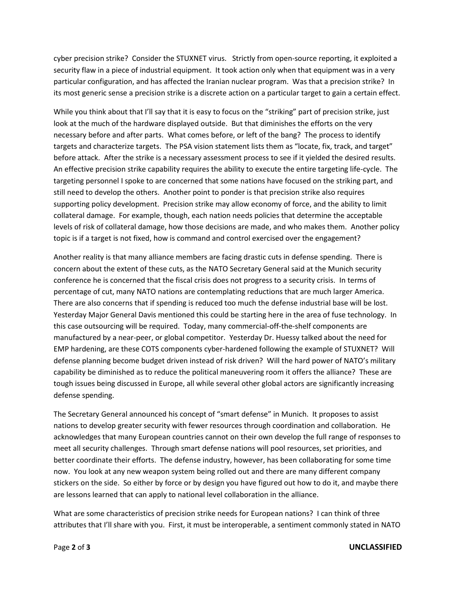cyber precision strike? Consider the STUXNET virus. Strictly from open-source reporting, it exploited a security flaw in a piece of industrial equipment. It took action only when that equipment was in a very particular configuration, and has affected the Iranian nuclear program. Was that a precision strike? In its most generic sense a precision strike is a discrete action on a particular target to gain a certain effect.

While you think about that I'll say that it is easy to focus on the "striking" part of precision strike, just look at the much of the hardware displayed outside. But that diminishes the efforts on the very necessary before and after parts. What comes before, or left of the bang? The process to identify targets and characterize targets. The PSA vision statement lists them as "locate, fix, track, and target" before attack. After the strike is a necessary assessment process to see if it yielded the desired results. An effective precision strike capability requires the ability to execute the entire targeting life-cycle. The targeting personnel I spoke to are concerned that some nations have focused on the striking part, and still need to develop the others. Another point to ponder is that precision strike also requires supporting policy development. Precision strike may allow economy of force, and the ability to limit collateral damage. For example, though, each nation needs policies that determine the acceptable levels of risk of collateral damage, how those decisions are made, and who makes them. Another policy topic is if a target is not fixed, how is command and control exercised over the engagement?

Another reality is that many alliance members are facing drastic cuts in defense spending. There is concern about the extent of these cuts, as the NATO Secretary General said at the Munich security conference he is concerned that the fiscal crisis does not progress to a security crisis. In terms of percentage of cut, many NATO nations are contemplating reductions that are much larger America. There are also concerns that if spending is reduced too much the defense industrial base will be lost. Yesterday Major General Davis mentioned this could be starting here in the area of fuse technology. In this case outsourcing will be required. Today, many commercial-off-the-shelf components are manufactured by a near-peer, or global competitor. Yesterday Dr. Huessy talked about the need for EMP hardening, are these COTS components cyber-hardened following the example of STUXNET? Will defense planning become budget driven instead of risk driven? Will the hard power of NATO's military capability be diminished as to reduce the political maneuvering room it offers the alliance? These are tough issues being discussed in Europe, all while several other global actors are significantly increasing defense spending.

The Secretary General announced his concept of "smart defense" in Munich. It proposes to assist nations to develop greater security with fewer resources through coordination and collaboration. He acknowledges that many European countries cannot on their own develop the full range of responses to meet all security challenges. Through smart defense nations will pool resources, set priorities, and better coordinate their efforts. The defense industry, however, has been collaborating for some time now. You look at any new weapon system being rolled out and there are many different company stickers on the side. So either by force or by design you have figured out how to do it, and maybe there are lessons learned that can apply to national level collaboration in the alliance.

What are some characteristics of precision strike needs for European nations? I can think of three attributes that I'll share with you. First, it must be interoperable, a sentiment commonly stated in NATO